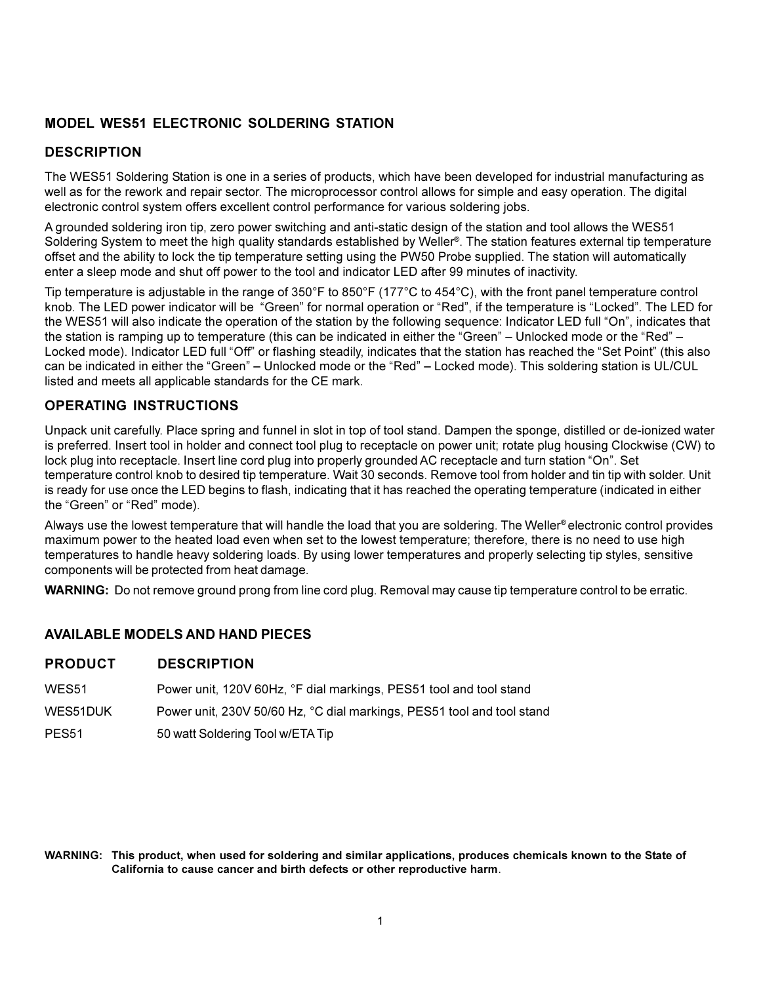#### **MODEL WES51 ELECTRONIC SOLDERING STATION**

#### **DESCRIPTION**

The WES51 Soldering Station is one in a series of products, which have been developed for industrial manufacturing as well as for the rework and repair sector. The microprocessor control allows for simple and easy operation. The digital electronic control system offers excellent control performance for various soldering jobs.

A grounded soldering iron tip, zero power switching and anti-static design of the station and tool allows the WES51 Soldering System to meet the high quality standards established by Weller®. The station features external tip temperature offset and the ability to lock the tip temperature setting using the PW50 Probe supplied. The station will automatically enter a sleep mode and shut off power to the tool and indicator LED after 99 minutes of inactivity.

Tip temperature is adjustable in the range of 350°F to 850°F (177°C to 454°C), with the front panel temperature control knob. The LED power indicator will be "Green" for normal operation or "Red", if the temperature is "Locked". The LED for the WES51 will also indicate the operation of the station by the following sequence: Indicator LED full "On", indicates that the station is ramping up to temperature (this can be indicated in either the "Green" – Unlocked mode or the "Red" – Locked mode). Indicator LED full "Off" or flashing steadily, indicates that the station has reached the "Set Point" (this also can be indicated in either the "Green" – Unlocked mode or the "Red" – Locked mode). This soldering station is UL/CUL listed and meets all applicable standards for the CE mark.

#### **OPERATING INSTRUCTIONS**

Unpack unit carefully. Place spring and funnel in slot in top of tool stand. Dampen the sponge, distilled or de-ionized water is preferred. Insert tool in holder and connect tool plug to receptacle on power unit; rotate plug housing Clockwise (CW) to lock plug into receptacle. Insert line cord plug into properly grounded AC receptacle and turn station "On". Set temperature control knob to desired tip temperature. Wait 30 seconds. Remove tool from holder and tin tip with solder. Unit is ready for use once the LED begins to flash, indicating that it has reached the operating temperature (indicated in either the "Green" or "Red" mode).

Always use the lowest temperature that will handle the load that you are soldering. The Weller® electronic control provides maximum power to the heated load even when set to the lowest temperature; therefore, there is no need to use high temperatures to handle heavy soldering loads. By using lower temperatures and properly selecting tip styles, sensitive components will be protected from heat damage.

**WARNING:** Do not remove ground prong from line cord plug. Removal may cause tip temperature control to be erratic.

#### **AVAILABLE MODELS AND HAND PIECES**

#### **PRODUCT DESCRIPTION**

| WES51             | Power unit, 120V 60Hz, °F dial markings, PES51 tool and tool stand     |
|-------------------|------------------------------------------------------------------------|
| WES51DUK          | Power unit, 230V 50/60 Hz, °C dial markings, PES51 tool and tool stand |
| PES <sub>51</sub> | 50 watt Soldering Tool w/ETA Tip                                       |

**WARNING: This product, when used for soldering and similar applications, produces chemicals known to the State of California to cause cancer and birth defects or other reproductive harm**.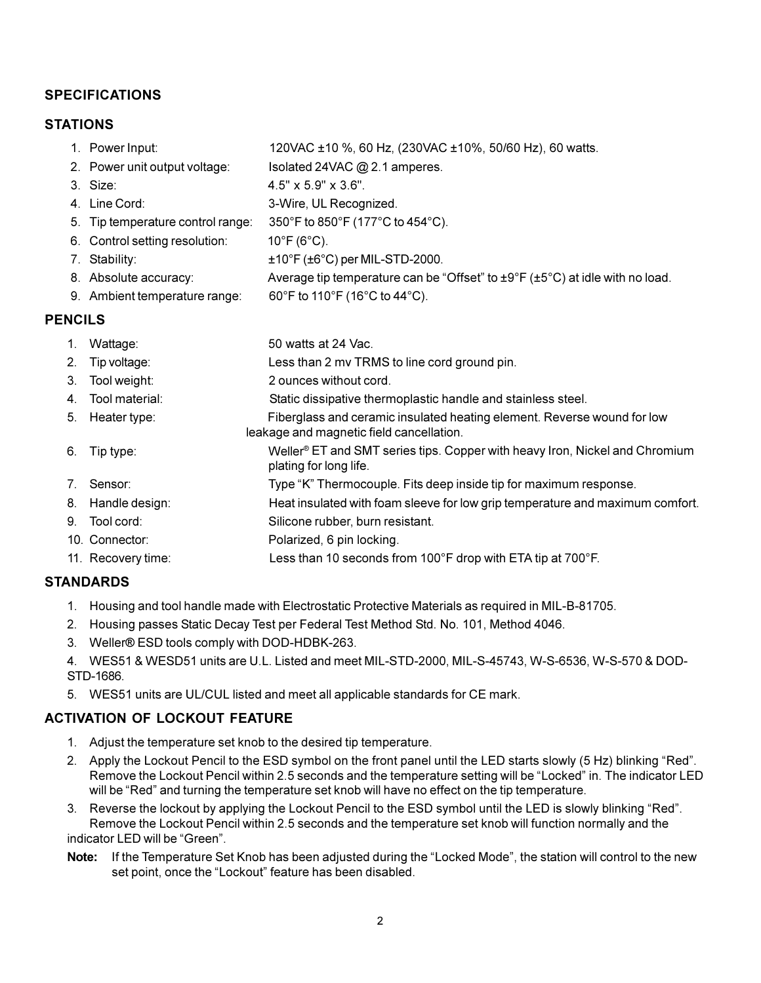### **SPECIFICATIONS**

#### **STATIONS**

|               | 1. Power Input:                   | 120VAC ±10 %, 60 Hz, (230VAC ±10%, 50/60 Hz), 60 watts.                                                |
|---------------|-----------------------------------|--------------------------------------------------------------------------------------------------------|
|               | 2. Power unit output voltage:     | Isolated 24VAC @ 2.1 amperes.                                                                          |
|               | 3. Size:                          | $4.5" \times 5.9" \times 3.6".$                                                                        |
|               | 4. Line Cord:                     | 3-Wire, UL Recognized.                                                                                 |
|               | 5. Tip temperature control range: | 350°F to 850°F (177°C to 454°C).                                                                       |
|               | 6. Control setting resolution:    | $10^{\circ}$ F (6 $^{\circ}$ C).                                                                       |
|               | 7. Stability:                     | $\pm$ 10°F ( $\pm$ 6°C) per MIL-STD-2000.                                                              |
|               | 8. Absolute accuracy:             | Average tip temperature can be "Offset" to $\pm 9^{\circ}F$ ( $\pm 5^{\circ}C$ ) at idle with no load. |
|               | 9. Ambient temperature range:     | 60°F to 110°F (16°C to 44°C).                                                                          |
| <b>ENCILS</b> |                                   |                                                                                                        |
|               | $1$ $M$ - $H$ $22$                | $E \cap \dots \cap H$                                                                                  |

#### **PENCILS**

| 1. | Wattage:           | 50 watts at 24 Vac.                                                                                                 |
|----|--------------------|---------------------------------------------------------------------------------------------------------------------|
| 2. | Tip voltage:       | Less than 2 mv TRMS to line cord ground pin.                                                                        |
| 3. | Tool weight:       | 2 ounces without cord.                                                                                              |
|    | 4. Tool material:  | Static dissipative thermoplastic handle and stainless steel.                                                        |
| 5. | Heater type:       | Fiberglass and ceramic insulated heating element. Reverse wound for low<br>leakage and magnetic field cancellation. |
| 6. | Tip type:          | Weller <sup>®</sup> ET and SMT series tips. Copper with heavy Iron, Nickel and Chromium<br>plating for long life.   |
| 7. | Sensor:            | Type "K" Thermocouple. Fits deep inside tip for maximum response.                                                   |
|    | 8. Handle design:  | Heat insulated with foam sleeve for low grip temperature and maximum comfort.                                       |
|    | 9. Tool cord:      | Silicone rubber, burn resistant.                                                                                    |
|    | 10. Connector:     | Polarized, 6 pin locking.                                                                                           |
|    | 11. Recovery time: | Less than 10 seconds from 100°F drop with ETA tip at 700°F.                                                         |
|    | .                  |                                                                                                                     |

### **STANDARDS**

- 1. Housing and tool handle made with Electrostatic Protective Materials as required in MIL-B-81705.
- 2. Housing passes Static Decay Test per Federal Test Method Std. No. 101, Method 4046.
- 3. Weller® ESD tools comply with DOD-HDBK-263.
- 4. WES51 & WESD51 units are U.L. Listed and meet MIL-STD-2000, MIL-S-45743, W-S-6536, W-S-570 & DOD-STD-1686.
- 5. WES51 units are UL/CUL listed and meet all applicable standards for CE mark.

### **ACTIVATION OF LOCKOUT FEATURE**

- 1. Adjust the temperature set knob to the desired tip temperature.
- 2. Apply the Lockout Pencil to the ESD symbol on the front panel until the LED starts slowly (5 Hz) blinking "Red". Remove the Lockout Pencil within 2.5 seconds and the temperature setting will be "Locked" in. The indicator LED will be "Red" and turning the temperature set knob will have no effect on the tip temperature.
- 3. Reverse the lockout by applying the Lockout Pencil to the ESD symbol until the LED is slowly blinking "Red". Remove the Lockout Pencil within 2.5 seconds and the temperature set knob will function normally and the indicator LED will be "Green".
- Note: If the Temperature Set Knob has been adjusted during the "Locked Mode", the station will control to the new set point, once the "Lockout" feature has been disabled.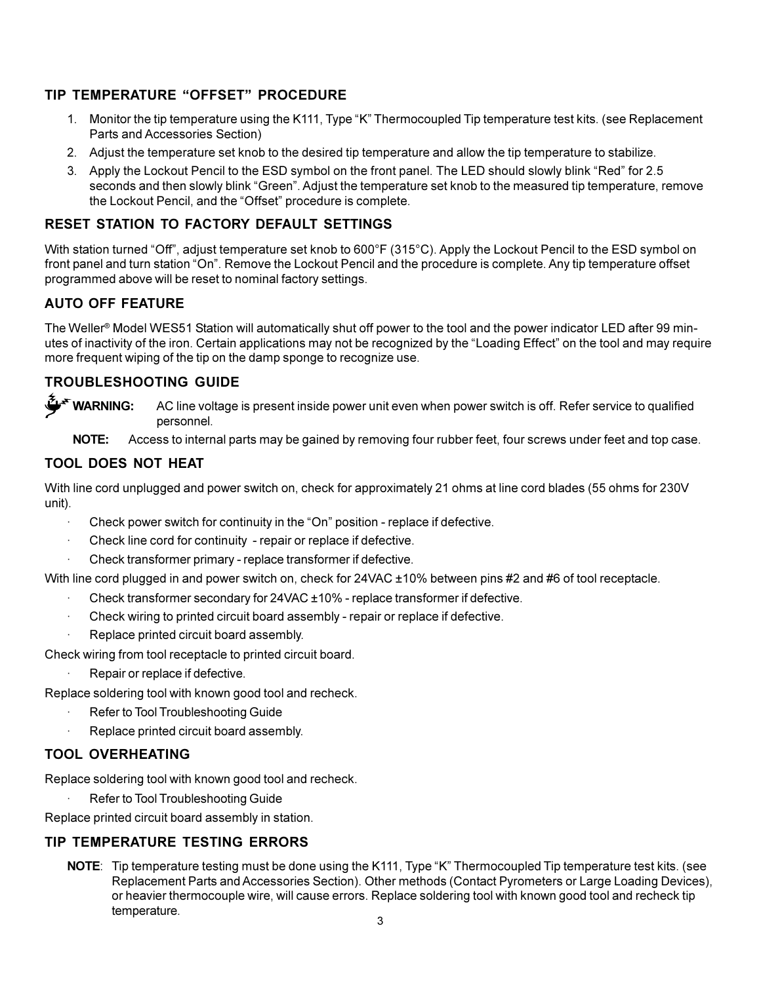### **TIP TEMPERATURE "OFFSET" PROCEDURE**

- 1. Monitor the tip temperature using the K111, Type "K" Thermocoupled Tip temperature test kits. (see Replacement Parts and Accessories Section)
- 2. Adjust the temperature set knob to the desired tip temperature and allow the tip temperature to stabilize.
- 3. Apply the Lockout Pencil to the ESD symbol on the front panel. The LED should slowly blink "Red" for 2.5 seconds and then slowly blink "Green". Adjust the temperature set knob to the measured tip temperature, remove the Lockout Pencil, and the "Offset" procedure is complete.

#### **RESET STATION TO FACTORY DEFAULT SETTINGS**

With station turned "Off", adjust temperature set knob to 600°F (315°C). Apply the Lockout Pencil to the ESD symbol on front panel and turn station "On". Remove the Lockout Pencil and the procedure is complete. Any tip temperature offset programmed above will be reset to nominal factory settings.

### **AUTO OFF FEATURE**

The Weller<sup>®</sup> Model WES51 Station will automatically shut off power to the tool and the power indicator LED after 99 minutes of inactivity of the iron. Certain applications may not be recognized by the "Loading Effect" on the tool and may require more frequent wiping of the tip on the damp sponge to recognize use.

### **TROUBLESHOOTING GUIDE**

**WARNING:** AC line voltage is present inside power unit even when power switch is off. Refer service to qualified personnel.

**NOTE:** Access to internal parts may be gained by removing four rubber feet, four screws under feet and top case.

### **TOOL DOES NOT HEAT**

With line cord unplugged and power switch on, check for approximately 21 ohms at line cord blades (55 ohms for 230V unit).

- Check power switch for continuity in the "On" position replace if defective.
- Check line cord for continuity repair or replace if defective.
- · Check transformer primary replace transformer if defective.

With line cord plugged in and power switch on, check for 24VAC ±10% between pins #2 and #6 of tool receptacle.

- · Check transformer secondary for 24VAC ±10% replace transformer if defective.
- · Check wiring to printed circuit board assembly repair or replace if defective.
- Replace printed circuit board assembly.
- Check wiring from tool receptacle to printed circuit board.
	- Repair or replace if defective.
- Replace soldering tool with known good tool and recheck.
	- Refer to Tool Troubleshooting Guide
	- Replace printed circuit board assembly.

### **TOOL OVERHEATING**

Replace soldering tool with known good tool and recheck.

Refer to Tool Troubleshooting Guide

Replace printed circuit board assembly in station.

### **TIP TEMPERATURE TESTING ERRORS**

NOTE: Tip temperature testing must be done using the K111, Type "K" Thermocoupled Tip temperature test kits. (see Replacement Parts and Accessories Section). Other methods (Contact Pyrometers or Large Loading Devices), or heavier thermocouple wire, will cause errors. Replace soldering tool with known good tool and recheck tip temperature.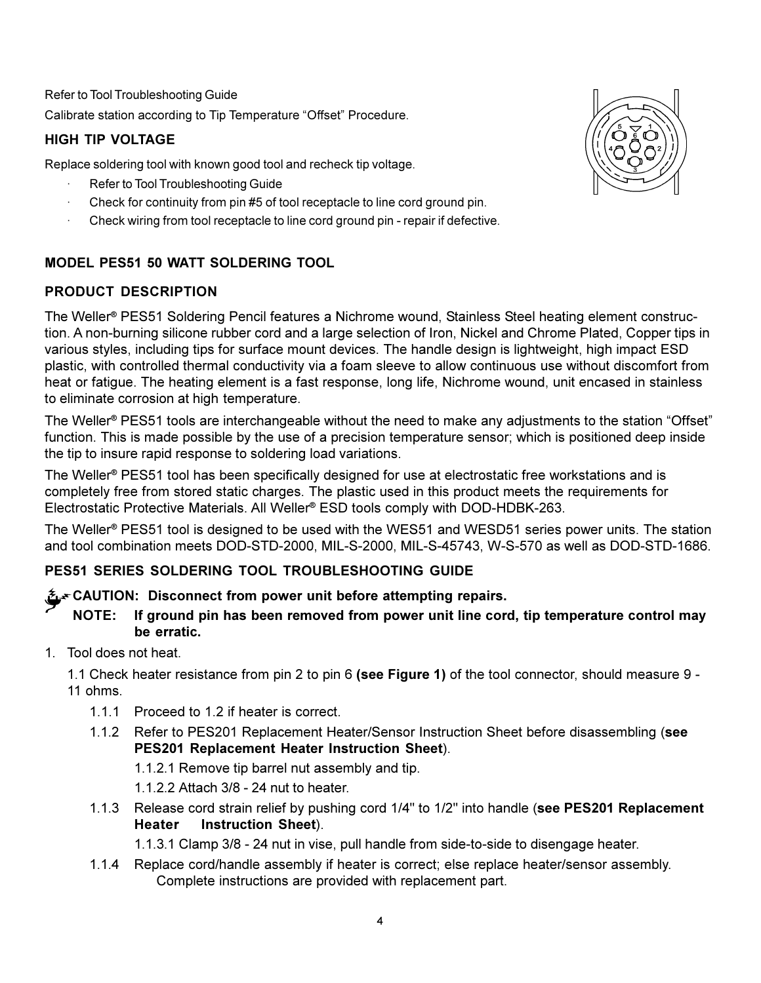Refer to Tool Troubleshooting Guide Calibrate station according to Tip Temperature "Offset" Procedure.

# **HIGH TIP VOLTAGE**

Replace soldering tool with known good tool and recheck tip voltage.

- Refer to Tool Troubleshooting Guide
- Check for continuity from pin #5 of tool receptacle to line cord ground pin.
- Check wiring from tool receptacle to line cord ground pin repair if defective.

# **MODEL PES51 50 WATT SOLDERING TOOL**

# **PRODUCT DESCRIPTION**

The Weller® PES51 Soldering Pencil features a Nichrome wound, Stainless Steel heating element construction. A non-burning silicone rubber cord and a large selection of Iron, Nickel and Chrome Plated, Copper tips in various styles, including tips for surface mount devices. The handle design is lightweight, high impact ESD plastic, with controlled thermal conductivity via a foam sleeve to allow continuous use without discomfort from heat or fatigue. The heating element is a fast response, long life, Nichrome wound, unit encased in stainless to eliminate corrosion at high temperature.

The Weller<sup>®</sup> PES51 tools are interchangeable without the need to make any adjustments to the station "Offset" function. This is made possible by the use of a precision temperature sensor; which is positioned deep inside the tip to insure rapid response to soldering load variations.

The Weller® PES51 tool has been specifically designed for use at electrostatic free workstations and is completely free from stored static charges. The plastic used in this product meets the requirements for Electrostatic Protective Materials. All Weller® ESD tools comply with DOD-HDBK-263.

The Weller® PES51 tool is designed to be used with the WES51 and WESD51 series power units. The station and tool combination meets DOD-STD-2000, MIL-S-2000, MIL-S-45743, W-S-570 as well as DOD-STD-1686.

# **PES51 SERIES SOLDERING TOOL TROUBLESHOOTING GUIDE**

# **CAUTION: Disconnect from power unit before attempting repairs.**

- **NOTE: If ground pin has been removed from power unit line cord, tip temperature control may be erratic.**
- 1. Tool does not heat.

1.1 Check heater resistance from pin 2 to pin 6 **(see Figure 1)** of the tool connector, should measure 9 - 11 ohms.

- 1.1.1 Proceed to 1.2 if heater is correct.
- 1.1.2 Refer to PES201 Replacement Heater/Sensor Instruction Sheet before disassembling (**see PES201 Replacement Heater Instruction Sheet**).
	- 1.1.2.1 Remove tip barrel nut assembly and tip.
	- 1.1.2.2 Attach 3/8 24 nut to heater.
- 1.1.3 Release cord strain relief by pushing cord 1/4" to 1/2" into handle (**see PES201 Replacement Heater Instruction Sheet**).

1.1.3.1 Clamp 3/8 - 24 nut in vise, pull handle from side-to-side to disengage heater.

1.1.4 Replace cord/handle assembly if heater is correct; else replace heater/sensor assembly. Complete instructions are provided with replacement part.

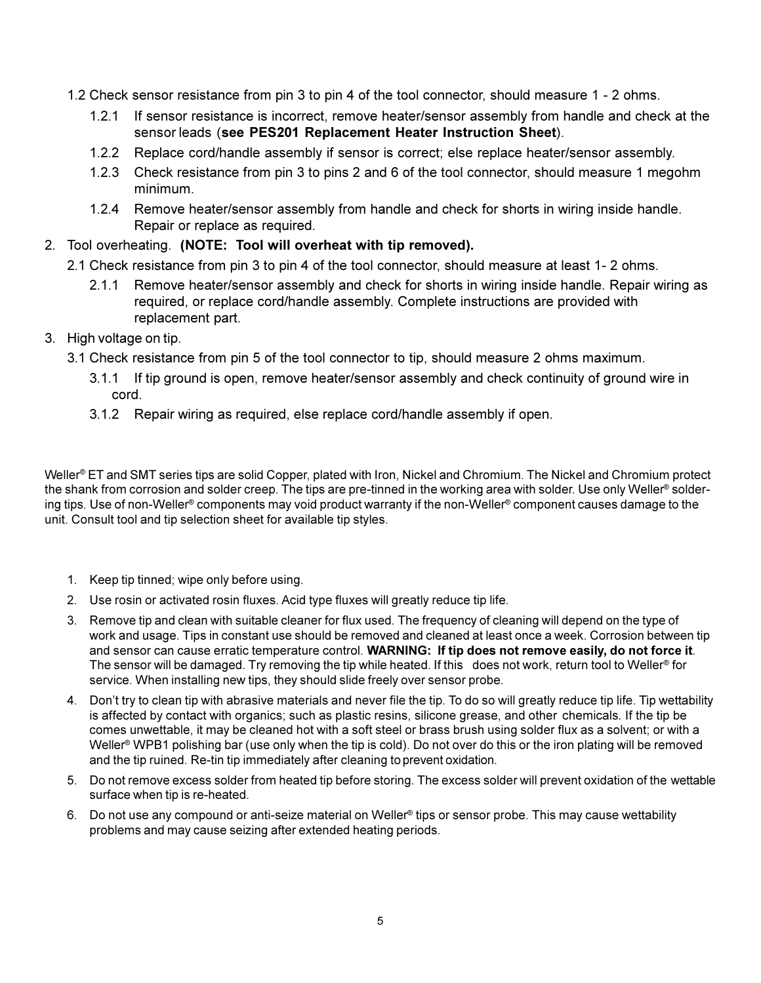- 1.2 Check sensor resistance from pin 3 to pin 4 of the tool connector, should measure 1 2 ohms.
	- 1.2.1 If sensor resistance is incorrect, remove heater/sensor assembly from handle and check at the sensor leads (**see PES201 Replacement Heater Instruction Sheet**).
	- 1.2.2 Replace cord/handle assembly if sensor is correct; else replace heater/sensor assembly.
	- 1.2.3 Check resistance from pin 3 to pins 2 and 6 of the tool connector, should measure 1 megohm minimum.
	- 1.2.4 Remove heater/sensor assembly from handle and check for shorts in wiring inside handle. Repair or replace as required.
- 2. Tool overheating. **(NOTE: Tool will overheat with tip removed).**
	- 2.1 Check resistance from pin 3 to pin 4 of the tool connector, should measure at least 1- 2 ohms.
		- 2.1.1 Remove heater/sensor assembly and check for shorts in wiring inside handle. Repair wiring as required, or replace cord/handle assembly. Complete instructions are provided with replacement part.
- 3. High voltage on tip.
	- 3.1 Check resistance from pin 5 of the tool connector to tip, should measure 2 ohms maximum.
		- 3.1.1 If tip ground is open, remove heater/sensor assembly and check continuity of ground wire in cord.
		- 3.1.2 Repair wiring as required, else replace cord/handle assembly if open.

Weller® ET and SMT series tips are solid Copper, plated with Iron, Nickel and Chromium. The Nickel and Chromium protect the shank from corrosion and solder creep. The tips are pre-tinned in the working area with solder. Use only Weller® soldering tips. Use of non-Weller® components may void product warranty if the non-Weller® component causes damage to the unit. Consult tool and tip selection sheet for available tip styles.

- 1. Keep tip tinned; wipe only before using.
- 2. Use rosin or activated rosin fluxes. Acid type fluxes will greatly reduce tip life.
- 3. Remove tip and clean with suitable cleaner for flux used. The frequency of cleaning will depend on the type of work and usage. Tips in constant use should be removed and cleaned at least once a week. Corrosion between tip and sensor can cause erratic temperature control. **WARNING: If tip does not remove easily, do not force it**. The sensor will be damaged. Try removing the tip while heated. If this does not work, return tool to Weller® for service. When installing new tips, they should slide freely over sensor probe.
- 4. Don't try to clean tip with abrasive materials and never file the tip. To do so will greatly reduce tip life. Tip wettability is affected by contact with organics; such as plastic resins, silicone grease, and other chemicals. If the tip be comes unwettable, it may be cleaned hot with a soft steel or brass brush using solder flux as a solvent; or with a Weller<sup>®</sup> WPB1 polishing bar (use only when the tip is cold). Do not over do this or the iron plating will be removed and the tip ruined. Re-tin tip immediately after cleaning to prevent oxidation.
- 5. Do not remove excess solder from heated tip before storing. The excess solder will prevent oxidation of the wettable surface when tip is re-heated.
- 6. Do not use any compound or anti-seize material on Weller® tips or sensor probe. This may cause wettability problems and may cause seizing after extended heating periods.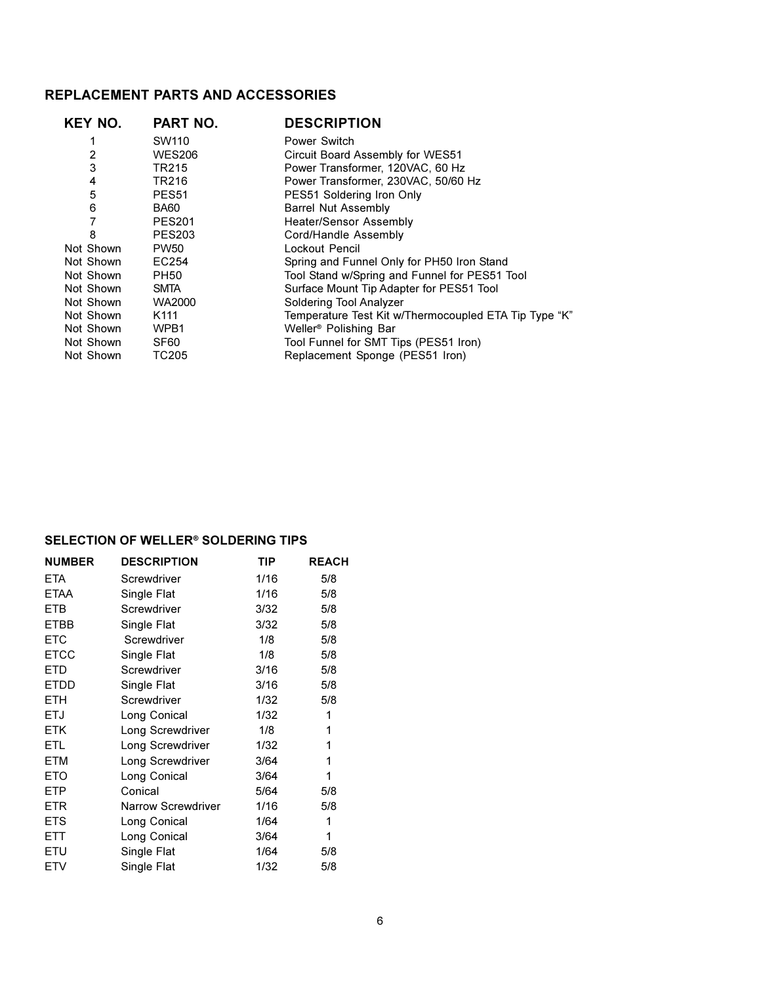## **REPLACEMENT PARTS AND ACCESSORIES**

| PART NO.         | <b>DESCRIPTION</b>                                    |
|------------------|-------------------------------------------------------|
| SW110            | Power Switch                                          |
| <b>WES206</b>    | Circuit Board Assembly for WES51                      |
| <b>TR215</b>     | Power Transformer, 120VAC, 60 Hz                      |
| TR216            | Power Transformer, 230VAC, 50/60 Hz                   |
| <b>PES51</b>     | PES51 Soldering Iron Only                             |
| BA60             | <b>Barrel Nut Assembly</b>                            |
| <b>PES201</b>    | <b>Heater/Sensor Assembly</b>                         |
| <b>PES203</b>    | Cord/Handle Assembly                                  |
| <b>PW50</b>      | Lockout Pencil                                        |
| EC254            | Spring and Funnel Only for PH50 Iron Stand            |
| <b>PH50</b>      | Tool Stand w/Spring and Funnel for PES51 Tool         |
| <b>SMTA</b>      | Surface Mount Tip Adapter for PES51 Tool              |
| WA2000           | Soldering Tool Analyzer                               |
| K <sub>111</sub> | Temperature Test Kit w/Thermocoupled ETA Tip Type "K" |
| WPB1             | Weller <sup>®</sup> Polishing Bar                     |
| SF60             | Tool Funnel for SMT Tips (PES51 Iron)                 |
| TC205            | Replacement Sponge (PES51 Iron)                       |
|                  |                                                       |

#### **SELECTION OF WELLER® SOLDERING TIPS**

| <b>NUMBER</b> | <b>DESCRIPTION</b>        | <b>TIP</b> | <b>REACH</b> |
|---------------|---------------------------|------------|--------------|
| <b>ETA</b>    | Screwdriver               | 1/16       | 5/8          |
| <b>ETAA</b>   | Single Flat               | 1/16       | 5/8          |
| <b>ETB</b>    | Screwdriver               | 3/32       | 5/8          |
| <b>ETBB</b>   | Single Flat               | 3/32       | 5/8          |
| <b>ETC</b>    | Screwdriver               | 1/8        | 5/8          |
| <b>ETCC</b>   | Single Flat               | 1/8        | 5/8          |
| <b>ETD</b>    | Screwdriver               | 3/16       | 5/8          |
| <b>ETDD</b>   | Single Flat               | 3/16       | 5/8          |
| <b>ETH</b>    | Screwdriver               | 1/32       | 5/8          |
| <b>ETJ</b>    | Long Conical              | 1/32       | 1            |
| <b>ETK</b>    | Long Screwdriver          | 1/8        | 1            |
| <b>ETL</b>    | Long Screwdriver          | 1/32       | 1            |
| <b>ETM</b>    | Long Screwdriver          | 3/64       | 1            |
| <b>ETO</b>    | Long Conical              | 3/64       | 1            |
| <b>ETP</b>    | Conical                   | 5/64       | 5/8          |
| <b>ETR</b>    | <b>Narrow Screwdriver</b> | 1/16       | 5/8          |
| <b>ETS</b>    | Long Conical              | 1/64       | 1            |
| <b>ETT</b>    | Long Conical              | 3/64       | 1            |
| ETU           | Single Flat               | 1/64       | 5/8          |
| <b>ETV</b>    | Single Flat               | 1/32       | 5/8          |
|               |                           |            |              |